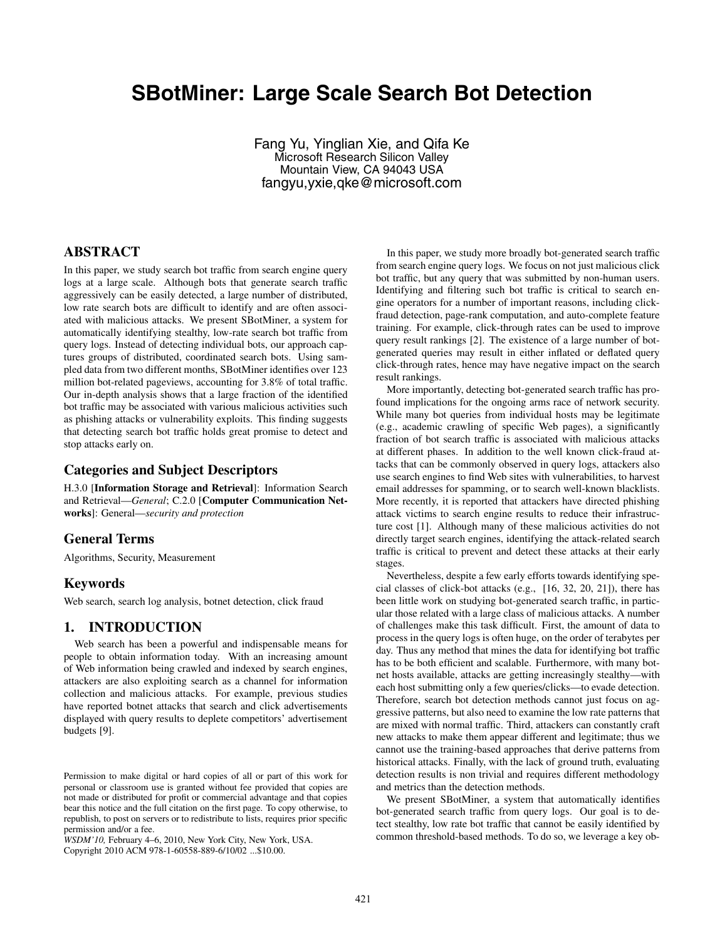# **SBotMiner: Large Scale Search Bot Detection**

Fang Yu, Yinglian Xie, and Qifa Ke Microsoft Research Silicon Valley Mountain View, CA 94043 USA fangyu,yxie,qke@microsoft.com

# **ABSTRACT**

In this paper, we study search bot traffic from search engine query logs at a large scale. Although bots that generate search traffic aggressively can be easily detected, a large number of distributed, low rate search bots are difficult to identify and are often associated with malicious attacks. We present SBotMiner, a system for automatically identifying stealthy, low-rate search bot traffic from query logs. Instead of detecting individual bots, our approach captures groups of distributed, coordinated search bots. Using sampled data from two different months, SBotMiner identifies over 123 million bot-related pageviews, accounting for 3.8% of total traffic. Our in-depth analysis shows that a large fraction of the identified bot traffic may be associated with various malicious activities such as phishing attacks or vulnerability exploits. This finding suggests that detecting search bot traffic holds great promise to detect and stop attacks early on.

## **Categories and Subject Descriptors**

H.3.0 [**Information Storage and Retrieval**]: Information Search and Retrieval—*General*; C.2.0 [**Computer Communication Networks**]: General—*security and protection*

# **General Terms**

Algorithms, Security, Measurement

# **Keywords**

Web search, search log analysis, botnet detection, click fraud

## **1. INTRODUCTION**

Web search has been a powerful and indispensable means for people to obtain information today. With an increasing amount of Web information being crawled and indexed by search engines, attackers are also exploiting search as a channel for information collection and malicious attacks. For example, previous studies have reported botnet attacks that search and click advertisements displayed with query results to deplete competitors' advertisement budgets [9].

*WSDM'10,* February 4–6, 2010, New York City, New York, USA.

Copyright 2010 ACM 978-1-60558-889-6/10/02 ...\$10.00.

In this paper, we study more broadly bot-generated search traffic from search engine query logs. We focus on not just malicious click bot traffic, but any query that was submitted by non-human users. Identifying and filtering such bot traffic is critical to search engine operators for a number of important reasons, including clickfraud detection, page-rank computation, and auto-complete feature training. For example, click-through rates can be used to improve query result rankings [2]. The existence of a large number of botgenerated queries may result in either inflated or deflated query click-through rates, hence may have negative impact on the search result rankings.

More importantly, detecting bot-generated search traffic has profound implications for the ongoing arms race of network security. While many bot queries from individual hosts may be legitimate (e.g., academic crawling of specific Web pages), a significantly fraction of bot search traffic is associated with malicious attacks at different phases. In addition to the well known click-fraud attacks that can be commonly observed in query logs, attackers also use search engines to find Web sites with vulnerabilities, to harvest email addresses for spamming, or to search well-known blacklists. More recently, it is reported that attackers have directed phishing attack victims to search engine results to reduce their infrastructure cost [1]. Although many of these malicious activities do not directly target search engines, identifying the attack-related search traffic is critical to prevent and detect these attacks at their early stages.

Nevertheless, despite a few early efforts towards identifying special classes of click-bot attacks (e.g., [16, 32, 20, 21]), there has been little work on studying bot-generated search traffic, in particular those related with a large class of malicious attacks. A number of challenges make this task difficult. First, the amount of data to process in the query logs is often huge, on the order of terabytes per day. Thus any method that mines the data for identifying bot traffic has to be both efficient and scalable. Furthermore, with many botnet hosts available, attacks are getting increasingly stealthy—with each host submitting only a few queries/clicks—to evade detection. Therefore, search bot detection methods cannot just focus on aggressive patterns, but also need to examine the low rate patterns that are mixed with normal traffic. Third, attackers can constantly craft new attacks to make them appear different and legitimate; thus we cannot use the training-based approaches that derive patterns from historical attacks. Finally, with the lack of ground truth, evaluating detection results is non trivial and requires different methodology and metrics than the detection methods.

We present SBotMiner, a system that automatically identifies bot-generated search traffic from query logs. Our goal is to detect stealthy, low rate bot traffic that cannot be easily identified by common threshold-based methods. To do so, we leverage a key ob-

Permission to make digital or hard copies of all or part of this work for personal or classroom use is granted without fee provided that copies are not made or distributed for profit or commercial advantage and that copies bear this notice and the full citation on the first page. To copy otherwise, to republish, to post on servers or to redistribute to lists, requires prior specific permission and/or a fee.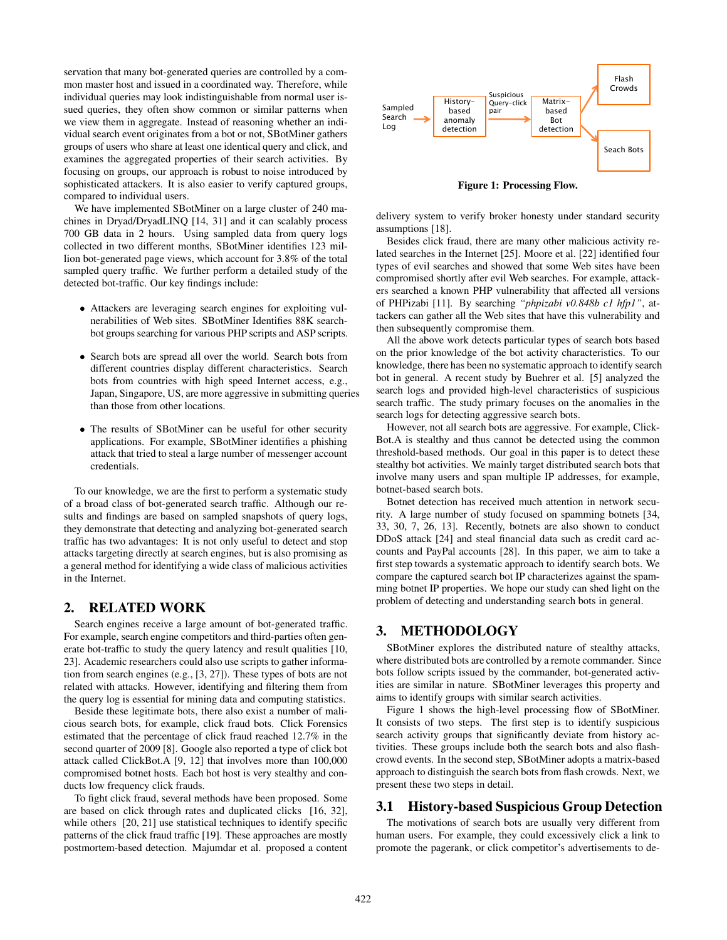servation that many bot-generated queries are controlled by a common master host and issued in a coordinated way. Therefore, while individual queries may look indistinguishable from normal user issued queries, they often show common or similar patterns when we view them in aggregate. Instead of reasoning whether an individual search event originates from a bot or not, SBotMiner gathers groups of users who share at least one identical query and click, and examines the aggregated properties of their search activities. By focusing on groups, our approach is robust to noise introduced by sophisticated attackers. It is also easier to verify captured groups, compared to individual users.

We have implemented SBotMiner on a large cluster of 240 machines in Dryad/DryadLINQ [14, 31] and it can scalably process 700 GB data in 2 hours. Using sampled data from query logs collected in two different months, SBotMiner identifies 123 million bot-generated page views, which account for 3.8% of the total sampled query traffic. We further perform a detailed study of the detected bot-traffic. Our key findings include:

- Attackers are leveraging search engines for exploiting vulnerabilities of Web sites. SBotMiner Identifies 88K searchbot groups searching for various PHP scripts and ASP scripts.
- Search bots are spread all over the world. Search bots from different countries display different characteristics. Search bots from countries with high speed Internet access, e.g., Japan, Singapore, US, are more aggressive in submitting queries than those from other locations.
- The results of SBotMiner can be useful for other security applications. For example, SBotMiner identifies a phishing attack that tried to steal a large number of messenger account credentials.

To our knowledge, we are the first to perform a systematic study of a broad class of bot-generated search traffic. Although our results and findings are based on sampled snapshots of query logs, they demonstrate that detecting and analyzing bot-generated search traffic has two advantages: It is not only useful to detect and stop attacks targeting directly at search engines, but is also promising as a general method for identifying a wide class of malicious activities in the Internet.

## **2. RELATED WORK**

Search engines receive a large amount of bot-generated traffic. For example, search engine competitors and third-parties often generate bot-traffic to study the query latency and result qualities [10, 23]. Academic researchers could also use scripts to gather information from search engines (e.g., [3, 27]). These types of bots are not related with attacks. However, identifying and filtering them from the query log is essential for mining data and computing statistics.

Beside these legitimate bots, there also exist a number of malicious search bots, for example, click fraud bots. Click Forensics estimated that the percentage of click fraud reached 12.7% in the second quarter of 2009 [8]. Google also reported a type of click bot attack called ClickBot.A [9, 12] that involves more than 100,000 compromised botnet hosts. Each bot host is very stealthy and conducts low frequency click frauds.

To fight click fraud, several methods have been proposed. Some are based on click through rates and duplicated clicks [16, 32], while others [20, 21] use statistical techniques to identify specific patterns of the click fraud traffic [19]. These approaches are mostly postmortem-based detection. Majumdar et al. proposed a content



**Figure 1: Processing Flow.**

delivery system to verify broker honesty under standard security assumptions [18].

Besides click fraud, there are many other malicious activity related searches in the Internet [25]. Moore et al. [22] identified four types of evil searches and showed that some Web sites have been compromised shortly after evil Web searches. For example, attackers searched a known PHP vulnerability that affected all versions of PHPizabi [11]. By searching *"phpizabi v0.848b c1 hfp1"*, attackers can gather all the Web sites that have this vulnerability and then subsequently compromise them.

All the above work detects particular types of search bots based on the prior knowledge of the bot activity characteristics. To our knowledge, there has been no systematic approach to identify search bot in general. A recent study by Buehrer et al. [5] analyzed the search logs and provided high-level characteristics of suspicious search traffic. The study primary focuses on the anomalies in the search logs for detecting aggressive search bots.

However, not all search bots are aggressive. For example, Click-Bot.A is stealthy and thus cannot be detected using the common threshold-based methods. Our goal in this paper is to detect these stealthy bot activities. We mainly target distributed search bots that involve many users and span multiple IP addresses, for example, botnet-based search bots.

Botnet detection has received much attention in network security. A large number of study focused on spamming botnets [34, 33, 30, 7, 26, 13]. Recently, botnets are also shown to conduct DDoS attack [24] and steal financial data such as credit card accounts and PayPal accounts [28]. In this paper, we aim to take a first step towards a systematic approach to identify search bots. We compare the captured search bot IP characterizes against the spamming botnet IP properties. We hope our study can shed light on the problem of detecting and understanding search bots in general.

## **3. METHODOLOGY**

SBotMiner explores the distributed nature of stealthy attacks, where distributed bots are controlled by a remote commander. Since bots follow scripts issued by the commander, bot-generated activities are similar in nature. SBotMiner leverages this property and aims to identify groups with similar search activities.

Figure 1 shows the high-level processing flow of SBotMiner. It consists of two steps. The first step is to identify suspicious search activity groups that significantly deviate from history activities. These groups include both the search bots and also flashcrowd events. In the second step, SBotMiner adopts a matrix-based approach to distinguish the search bots from flash crowds. Next, we present these two steps in detail.

## **3.1 History-based Suspicious Group Detection**

The motivations of search bots are usually very different from human users. For example, they could excessively click a link to promote the pagerank, or click competitor's advertisements to de-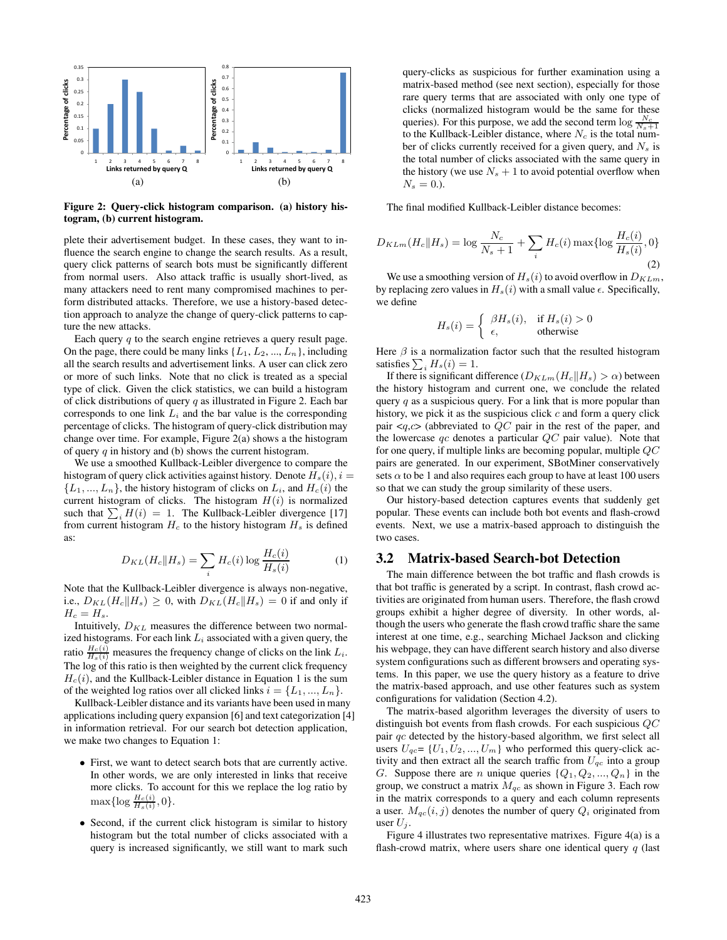

**Figure 2: Query-click histogram comparison. (a) history histogram, (b) current histogram.**

plete their advertisement budget. In these cases, they want to influence the search engine to change the search results. As a result, query click patterns of search bots must be significantly different from normal users. Also attack traffic is usually short-lived, as many attackers need to rent many compromised machines to perform distributed attacks. Therefore, we use a history-based detection approach to analyze the change of query-click patterns to capture the new attacks.

Each query  $q$  to the search engine retrieves a query result page. On the page, there could be many links  $\{L_1, L_2, ..., L_n\}$ , including all the search results and advertisement links. A user can click zero or more of such links. Note that no click is treated as a special type of click. Given the click statistics, we can build a histogram of click distributions of query  $q$  as illustrated in Figure 2. Each bar corresponds to one link L*<sup>i</sup>* and the bar value is the corresponding percentage of clicks. The histogram of query-click distribution may change over time. For example, Figure 2(a) shows a the histogram of query  $q$  in history and (b) shows the current histogram.

We use a smoothed Kullback-Leibler divergence to compare the histogram of query click activities against history. Denote  $H_s(i)$ ,  $i =$  ${L_1, ..., L_n}$ , the history histogram of clicks on  $L_i$ , and  $H_c(i)$  the current histogram of clicks. The histogram  $H(i)$  is normalized such that  $\sum_i H(i) = 1$ . The Kullback-Leibler divergence [17] from current histogram *H* to the histogram *H* is defined from current histogram  $H_c$  to the history histogram  $H_s$  is defined as:

$$
D_{KL}(H_c||H_s) = \sum_i H_c(i) \log \frac{H_c(i)}{H_s(i)}
$$
(1)

Note that the Kullback-Leibler divergence is always non-negative, i.e.,  $D_{KL}(H_c||H_s) \ge 0$ , with  $D_{KL}(H_c||H_s) = 0$  if and only if  $H - H$  $H_c = H_s$ .

Intuitively, D*KL* measures the difference between two normalized histograms. For each link L*<sup>i</sup>* associated with a given query, the ratio  $\frac{H_c(i)}{H_s(i)}$  measures the frequency change of clicks on the link  $L_i$ . The log of this ratio is then weighted by the current click frequency  $H_c(i)$ , and the Kullback-Leibler distance in Equation 1 is the sum of the weighted log ratios over all clicked links  $i = \{L_1, ..., L_n\}$ .

Kullback-Leibler distance and its variants have been used in many applications including query expansion [6] and text categorization [4] in information retrieval. For our search bot detection application, we make two changes to Equation 1:

- First, we want to detect search bots that are currently active. In other words, we are only interested in links that receive more clicks. To account for this we replace the log ratio by  $\max\{\log \frac{H_c(i)}{H_s(i)}, 0\}.$
- Second, if the current click histogram is similar to history histogram but the total number of clicks associated with a query is increased significantly, we still want to mark such

query-clicks as suspicious for further examination using a matrix-based method (see next section), especially for those rare query terms that are associated with only one type of clicks (normalized histogram would be the same for these queries). For this purpose, we add the second term  $\log \frac{N_c}{N_s+1}$ <br>to the Kullback-I eibler distance, where N, is the total numto the Kullback-Leibler distance, where N*<sup>c</sup>* is the total number of clicks currently received for a given query, and N*<sup>s</sup>* is the total number of clicks associated with the same query in the history (we use  $N_s + 1$  to avoid potential overflow when  $N_s = 0.$ ).

The final modified Kullback-Leibler distance becomes:

$$
D_{KLm}(H_c||H_s) = \log \frac{N_c}{N_s + 1} + \sum_i H_c(i) \max\{\log \frac{H_c(i)}{H_s(i)}, 0\}
$$
\n(2)

We use a smoothing version of  $H_s(i)$  to avoid overflow in  $D_{KLm}$ , by replacing zero values in  $H_s(i)$  with a small value  $\epsilon$ . Specifically, we define we define

$$
H_s(i) = \begin{cases} \beta H_s(i), & \text{if } H_s(i) > 0\\ \epsilon, & \text{otherwise} \end{cases}
$$

Here  $\beta$  is a normalization factor such that the resulted histogram satisfies  $\sum_i H_s(i) = 1$ .<br>If there is significant of

If there is significant difference  $(D_{KLm}(H_c||H_s) > \alpha)$  between<br>the history histogram and current one, we conclude the related the history histogram and current one, we conclude the related query  $q$  as a suspicious query. For a link that is more popular than history, we pick it as the suspicious click  $c$  and form a query click pair  $\langle q, c \rangle$  (abbreviated to QC pair in the rest of the paper, and the lowercase  $qc$  denotes a particular  $QC$  pair value). Note that for one query, if multiple links are becoming popular, multiple QC pairs are generated. In our experiment, SBotMiner conservatively sets  $\alpha$  to be 1 and also requires each group to have at least 100 users so that we can study the group similarity of these users.

Our history-based detection captures events that suddenly get popular. These events can include both bot events and flash-crowd events. Next, we use a matrix-based approach to distinguish the two cases.

#### **3.2 Matrix-based Search-bot Detection**

The main difference between the bot traffic and flash crowds is that bot traffic is generated by a script. In contrast, flash crowd activities are originated from human users. Therefore, the flash crowd groups exhibit a higher degree of diversity. In other words, although the users who generate the flash crowd traffic share the same interest at one time, e.g., searching Michael Jackson and clicking his webpage, they can have different search history and also diverse system configurations such as different browsers and operating systems. In this paper, we use the query history as a feature to drive the matrix-based approach, and use other features such as system configurations for validation (Section 4.2).

The matrix-based algorithm leverages the diversity of users to distinguish bot events from flash crowds. For each suspicious QC pair qc detected by the history-based algorithm, we first select all users  $U_{qc}$ = { $U_1, U_2, ..., U_m$ } who performed this query-click activity and then extract all the search traffic from  $U_{qc}$  into a group G. Suppose there are *n* unique queries  $\{Q_1, Q_2, ..., Q_n\}$  in the group, we construct a matrix  $M_{qc}$  as shown in Figure 3. Each row in the matrix corresponds to a query and each column represents a user.  $M_{qc}(i, j)$  denotes the number of query  $Q_i$  originated from user  $U_j$ .

Figure 4 illustrates two representative matrixes. Figure 4(a) is a flash-crowd matrix, where users share one identical query  $q$  (last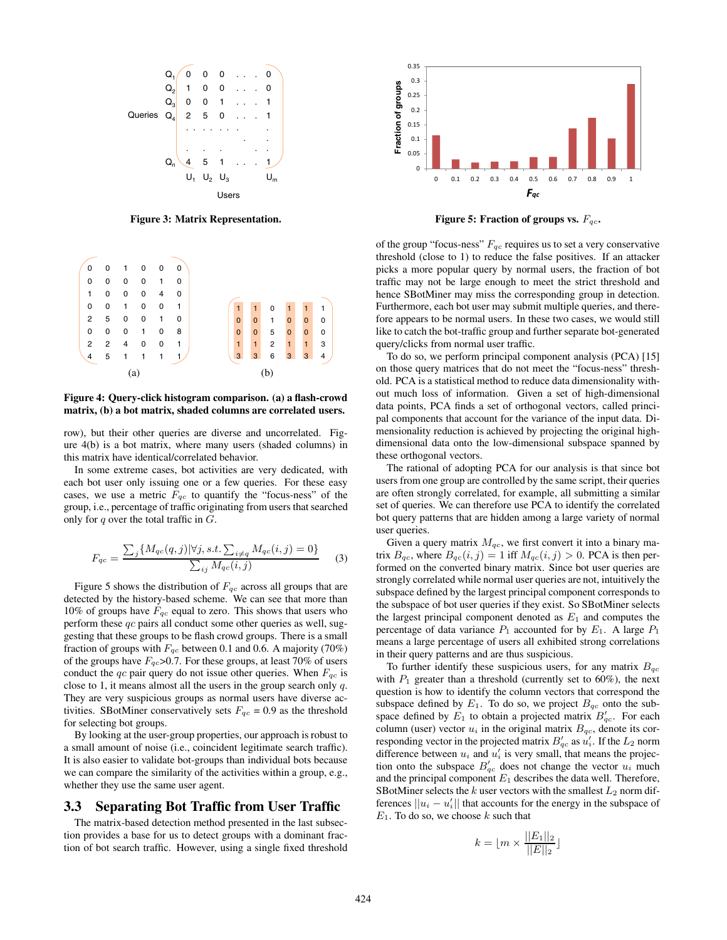

**Figure 3: Matrix Representation.**



**Figure 4: Query-click histogram comparison. (a) a flash-crowd matrix, (b) a bot matrix, shaded columns are correlated users.**

row), but their other queries are diverse and uncorrelated. Figure 4(b) is a bot matrix, where many users (shaded columns) in this matrix have identical/correlated behavior.

In some extreme cases, bot activities are very dedicated, with each bot user only issuing one or a few queries. For these easy cases, we use a metric  $F_{qc}$  to quantify the "focus-ness" of the group, i.e., percentage of traffic originating from users that searched only for  $q$  over the total traffic in  $G$ .

$$
F_{qc} = \frac{\sum_{j} \{ M_{qc}(q, j) | \forall j, s.t. \sum_{i \neq q} M_{qc}(i, j) = 0 \}}{\sum_{ij} M_{qc}(i, j)}
$$
(3)

Figure 5 shows the distribution of F*qc* across all groups that are detected by the history-based scheme. We can see that more than 10% of groups have F*qc* equal to zero. This shows that users who perform these  $qc$  pairs all conduct some other queries as well, suggesting that these groups to be flash crowd groups. There is a small fraction of groups with F*qc* between 0.1 and 0.6. A majority (70%) of the groups have F*qc*>0.7. For these groups, at least 70% of users conduct the  $qc$  pair query do not issue other queries. When  $F_{qc}$  is close to 1, it means almost all the users in the group search only  $q$ . They are very suspicious groups as normal users have diverse activities. SBotMiner conservatively sets  $F_{qc} = 0.9$  as the threshold for selecting bot groups.

By looking at the user-group properties, our approach is robust to a small amount of noise (i.e., coincident legitimate search traffic). It is also easier to validate bot-groups than individual bots because we can compare the similarity of the activities within a group, e.g., whether they use the same user agent.

## **3.3 Separating Bot Traffic from User Traffic**

The matrix-based detection method presented in the last subsection provides a base for us to detect groups with a dominant fraction of bot search traffic. However, using a single fixed threshold



**Figure 5: Fraction of groups vs.** F*qc***.**

of the group "focus-ness" F*qc* requires us to set a very conservative threshold (close to 1) to reduce the false positives. If an attacker picks a more popular query by normal users, the fraction of bot traffic may not be large enough to meet the strict threshold and hence SBotMiner may miss the corresponding group in detection. Furthermore, each bot user may submit multiple queries, and therefore appears to be normal users. In these two cases, we would still like to catch the bot-traffic group and further separate bot-generated query/clicks from normal user traffic.

To do so, we perform principal component analysis (PCA) [15] on those query matrices that do not meet the "focus-ness" threshold. PCA is a statistical method to reduce data dimensionality without much loss of information. Given a set of high-dimensional data points, PCA finds a set of orthogonal vectors, called principal components that account for the variance of the input data. Dimensionality reduction is achieved by projecting the original highdimensional data onto the low-dimensional subspace spanned by these orthogonal vectors.

The rational of adopting PCA for our analysis is that since bot users from one group are controlled by the same script, their queries are often strongly correlated, for example, all submitting a similar set of queries. We can therefore use PCA to identify the correlated bot query patterns that are hidden among a large variety of normal user queries.

Given a query matrix  $M_{qc}$ , we first convert it into a binary matrix  $B_{qc}$ , where  $B_{qc}(i, j) = 1$  iff  $M_{qc}(i, j) > 0$ . PCA is then performed on the converted binary matrix. Since bot user queries are strongly correlated while normal user queries are not, intuitively the subspace defined by the largest principal component corresponds to the subspace of bot user queries if they exist. So SBotMiner selects the largest principal component denoted as  $E_1$  and computes the percentage of data variance  $P_1$  accounted for by  $E_1$ . A large  $P_1$ means a large percentage of users all exhibited strong correlations in their query patterns and are thus suspicious.

To further identify these suspicious users, for any matrix B*qc* with  $P_1$  greater than a threshold (currently set to 60%), the next question is how to identify the column vectors that correspond the subspace defined by  $E_1$ . To do so, we project  $B_{qc}$  onto the subspace defined by  $E_1$  to obtain a projected matrix  $B'_{qc}$ . For each column (user) vector  $u_i$  in the original matrix  $B_{qc}$ , denote its corresponding vector in the projected matrix  $B'_{qc}$  as  $u'_i$ . If the  $L_2$  norm difference between  $u_i$  and  $u'_i$  is very small, that means the projection onto the subspace  $B'_{qc}$  does not change the vector  $u_i$  much and the principal component  $E_1$  describes the data well. Therefore, SBotMiner selects the  $k$  user vectors with the smallest  $L_2$  norm differences  $||u_i - u'_i||$  that accounts for the energy in the subspace of  $E_1$ . To do so, we choose k such that

$$
k = \lfloor m \times \frac{||E_1||_2}{||E||_2} \rfloor
$$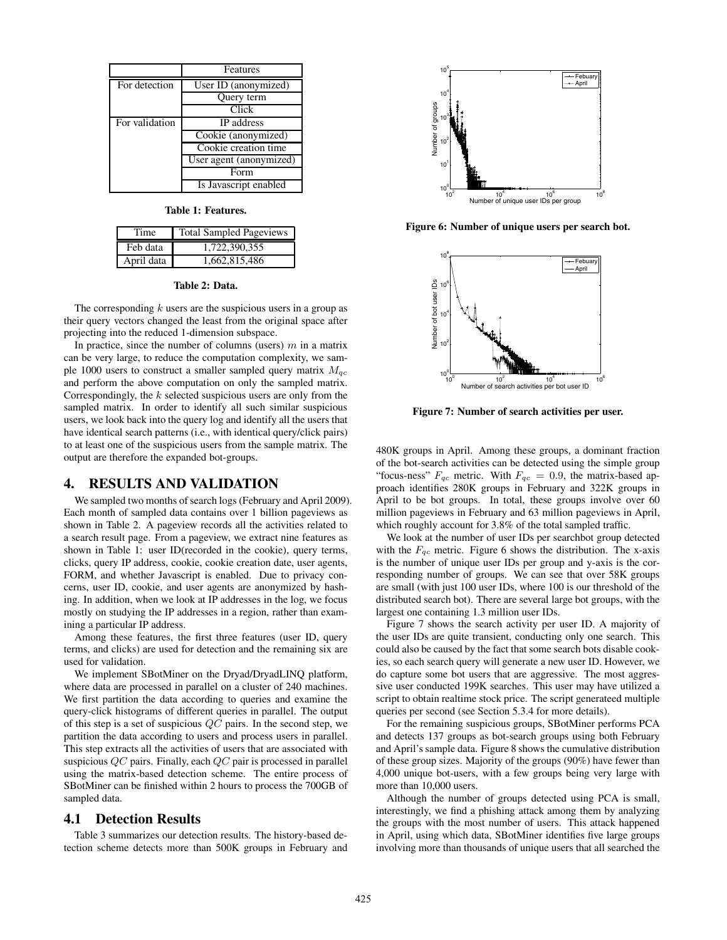|                | Features                |  |  |  |
|----------------|-------------------------|--|--|--|
| For detection  | User ID (anonymized)    |  |  |  |
|                | Query term              |  |  |  |
|                | Click                   |  |  |  |
| For validation | <b>IP</b> address       |  |  |  |
|                | Cookie (anonymized)     |  |  |  |
|                | Cookie creation time    |  |  |  |
|                | User agent (anonymized) |  |  |  |
|                | Form                    |  |  |  |
|                | Is Javascript enabled   |  |  |  |

#### **Table 1: Features.**

| Time       | <b>Total Sampled Pageviews</b> |  |  |
|------------|--------------------------------|--|--|
| Feb data   | 1,722,390,355                  |  |  |
| April data | 1.662.815.486                  |  |  |

#### **Table 2: Data.**

The corresponding  $k$  users are the suspicious users in a group as their query vectors changed the least from the original space after projecting into the reduced 1-dimension subspace.

In practice, since the number of columns (users)  $m$  in a matrix can be very large, to reduce the computation complexity, we sample 1000 users to construct a smaller sampled query matrix M*qc* and perform the above computation on only the sampled matrix. Correspondingly, the  $k$  selected suspicious users are only from the sampled matrix. In order to identify all such similar suspicious users, we look back into the query log and identify all the users that have identical search patterns (i.e., with identical query/click pairs) to at least one of the suspicious users from the sample matrix. The output are therefore the expanded bot-groups.

## **4. RESULTS AND VALIDATION**

We sampled two months of search logs (February and April 2009). Each month of sampled data contains over 1 billion pageviews as shown in Table 2. A pageview records all the activities related to a search result page. From a pageview, we extract nine features as shown in Table 1: user ID(recorded in the cookie), query terms, clicks, query IP address, cookie, cookie creation date, user agents, FORM, and whether Javascript is enabled. Due to privacy concerns, user ID, cookie, and user agents are anonymized by hashing. In addition, when we look at IP addresses in the log, we focus mostly on studying the IP addresses in a region, rather than examining a particular IP address.

Among these features, the first three features (user ID, query terms, and clicks) are used for detection and the remaining six are used for validation.

We implement SBotMiner on the Dryad/DryadLINQ platform, where data are processed in parallel on a cluster of 240 machines. We first partition the data according to queries and examine the query-click histograms of different queries in parallel. The output of this step is a set of suspicious  $QC$  pairs. In the second step, we partition the data according to users and process users in parallel. This step extracts all the activities of users that are associated with suspicious QC pairs. Finally, each QC pair is processed in parallel using the matrix-based detection scheme. The entire process of SBotMiner can be finished within 2 hours to process the 700GB of sampled data.

## **4.1 Detection Results**

Table 3 summarizes our detection results. The history-based detection scheme detects more than 500K groups in February and



**Figure 6: Number of unique users per search bot.**



**Figure 7: Number of search activities per user.**

480K groups in April. Among these groups, a dominant fraction of the bot-search activities can be detected using the simple group "focus-ness"  $F_{qc}$  metric. With  $F_{qc} = 0.9$ , the matrix-based approach identifies 280K groups in February and 322K groups in April to be bot groups. In total, these groups involve over 60 million pageviews in February and 63 million pageviews in April, which roughly account for 3.8% of the total sampled traffic.

We look at the number of user IDs per searchbot group detected with the F*qc* metric. Figure 6 shows the distribution. The x-axis is the number of unique user IDs per group and y-axis is the corresponding number of groups. We can see that over 58K groups are small (with just 100 user IDs, where 100 is our threshold of the distributed search bot). There are several large bot groups, with the largest one containing 1.3 million user IDs.

Figure 7 shows the search activity per user ID. A majority of the user IDs are quite transient, conducting only one search. This could also be caused by the fact that some search bots disable cookies, so each search query will generate a new user ID. However, we do capture some bot users that are aggressive. The most aggressive user conducted 199K searches. This user may have utilized a script to obtain realtime stock price. The script generateed multiple queries per second (see Section 5.3.4 for more details).

For the remaining suspicious groups, SBotMiner performs PCA and detects 137 groups as bot-search groups using both February and April's sample data. Figure 8 shows the cumulative distribution of these group sizes. Majority of the groups (90%) have fewer than 4,000 unique bot-users, with a few groups being very large with more than 10,000 users.

Although the number of groups detected using PCA is small, interestingly, we find a phishing attack among them by analyzing the groups with the most number of users. This attack happened in April, using which data, SBotMiner identifies five large groups involving more than thousands of unique users that all searched the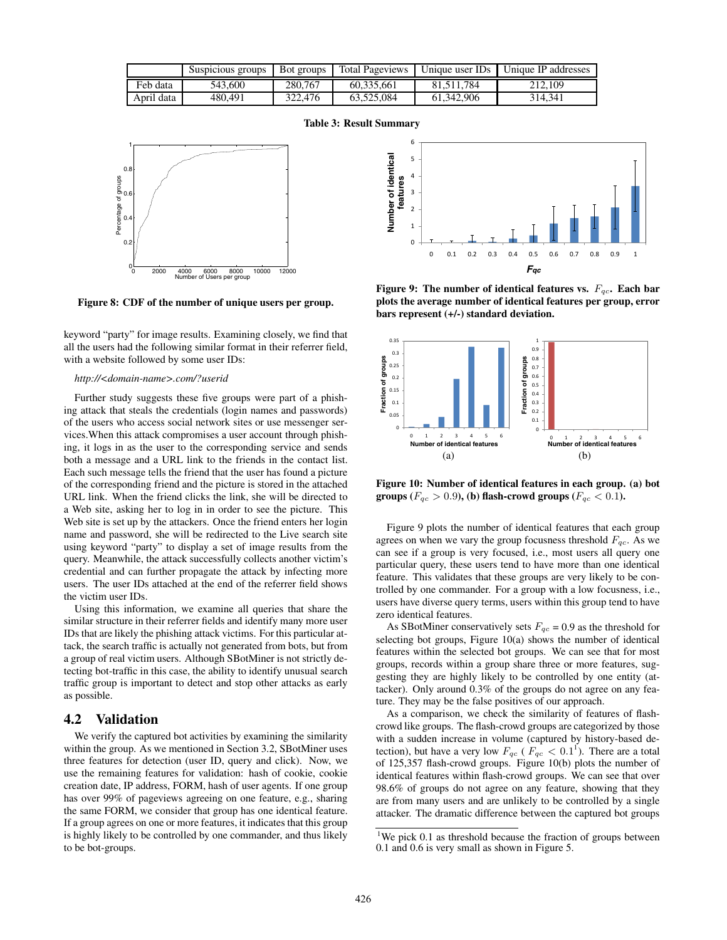|            | Suspicious groups | Bot groups | <b>Total Pageviews</b> |            | Unique user IDs   Unique IP addresses |
|------------|-------------------|------------|------------------------|------------|---------------------------------------|
| Feb data   | 543.600           | 280.767    | 60.335.661             | 81.511.784 | 212,109                               |
| April data | 480.491           | 322,476    | 63.525.084             | 61.342.906 | 314.341                               |

**Table 3: Result Summary**



**Figure 8: CDF of the number of unique users per group.**

keyword "party" for image results. Examining closely, we find that all the users had the following similar format in their referrer field, with a website followed by some user IDs:

#### *http://<domain-name>.com/?userid*

Further study suggests these five groups were part of a phishing attack that steals the credentials (login names and passwords) of the users who access social network sites or use messenger services.When this attack compromises a user account through phishing, it logs in as the user to the corresponding service and sends both a message and a URL link to the friends in the contact list. Each such message tells the friend that the user has found a picture of the corresponding friend and the picture is stored in the attached URL link. When the friend clicks the link, she will be directed to a Web site, asking her to log in in order to see the picture. This Web site is set up by the attackers. Once the friend enters her login name and password, she will be redirected to the Live search site using keyword "party" to display a set of image results from the query. Meanwhile, the attack successfully collects another victim's credential and can further propagate the attack by infecting more users. The user IDs attached at the end of the referrer field shows the victim user IDs.

Using this information, we examine all queries that share the similar structure in their referrer fields and identify many more user IDs that are likely the phishing attack victims. For this particular attack, the search traffic is actually not generated from bots, but from a group of real victim users. Although SBotMiner is not strictly detecting bot-traffic in this case, the ability to identify unusual search traffic group is important to detect and stop other attacks as early as possible.

#### **4.2 Validation**

We verify the captured bot activities by examining the similarity within the group. As we mentioned in Section 3.2, SBotMiner uses three features for detection (user ID, query and click). Now, we use the remaining features for validation: hash of cookie, cookie creation date, IP address, FORM, hash of user agents. If one group has over 99% of pageviews agreeing on one feature, e.g., sharing the same FORM, we consider that group has one identical feature. If a group agrees on one or more features, it indicates that this group is highly likely to be controlled by one commander, and thus likely to be bot-groups.



**Figure 9: The number of identical features vs.** F*qc***. Each bar plots the average number of identical features per group, error bars represent (+/-) standard deviation.**



**Figure 10: Number of identical features in each group. (a) bot groups** ( $F_{qc} > 0.9$ ), (b) flash-crowd groups ( $F_{qc} < 0.1$ ).

Figure 9 plots the number of identical features that each group agrees on when we vary the group focusness threshold  $F_{qc}$ . As we can see if a group is very focused, i.e., most users all query one particular query, these users tend to have more than one identical feature. This validates that these groups are very likely to be controlled by one commander. For a group with a low focusness, i.e., users have diverse query terms, users within this group tend to have zero identical features.

As SBotMiner conservatively sets  $F_{qc} = 0.9$  as the threshold for selecting bot groups, Figure 10(a) shows the number of identical features within the selected bot groups. We can see that for most groups, records within a group share three or more features, suggesting they are highly likely to be controlled by one entity (attacker). Only around 0.3% of the groups do not agree on any feature. They may be the false positives of our approach.

As a comparison, we check the similarity of features of flashcrowd like groups. The flash-crowd groups are categorized by those with a sudden increase in volume (captured by history-based detection), but have a very low  $F_{qc}$  ( $F_{qc} < 0.1<sup>1</sup>$ ). There are a total<br>of 125.357 flash-crowd groups. Figure 10(b) plots the number of of 125,357 flash-crowd groups. Figure 10(b) plots the number of identical features within flash-crowd groups. We can see that over 98.6% of groups do not agree on any feature, showing that they are from many users and are unlikely to be controlled by a single attacker. The dramatic difference between the captured bot groups

<sup>&</sup>lt;sup>1</sup>We pick 0.1 as threshold because the fraction of groups between 0.1 and 0.6 is very small as shown in Figure 5.